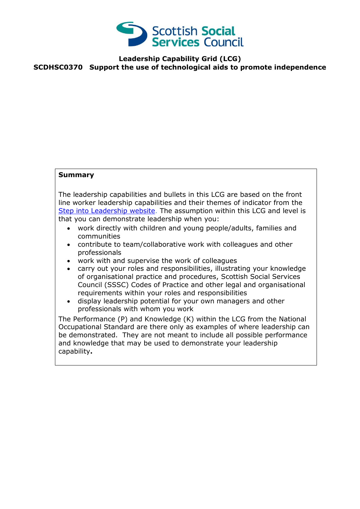

## **Leadership Capability Grid (LCG) SCDHSC0370 Support the use of technological aids to promote independence**

## **Summary**

The leadership capabilities and bullets in this LCG are based on the front line worker leadership capabilities and their themes of indicator from the [Step into Leadership website.](http://www.stepintoleadership.info/) The assumption within this LCG and level is that you can demonstrate leadership when you:

- work directly with children and young people/adults, families and communities
- contribute to team/collaborative work with colleagues and other professionals
- work with and supervise the work of colleagues
- carry out your roles and responsibilities, illustrating your knowledge of organisational practice and procedures, Scottish Social Services Council (SSSC) Codes of Practice and other legal and organisational requirements within your roles and responsibilities
- display leadership potential for your own managers and other professionals with whom you work

The Performance (P) and Knowledge (K) within the LCG from the National Occupational Standard are there only as examples of where leadership can be demonstrated. They are not meant to include all possible performance and knowledge that may be used to demonstrate your leadership capability**.**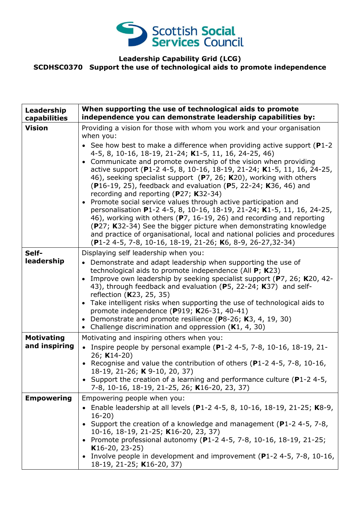

## **Leadership Capability Grid (LCG) SCDHSC0370 Support the use of technological aids to promote independence**

| Leadership<br>capabilities         | When supporting the use of technological aids to promote<br>independence you can demonstrate leadership capabilities by:                                                                                                                                                                                                                                                                                                                                                                                                                                                                                                                                                                                                                                                                                                                                                                                                                                                                                   |
|------------------------------------|------------------------------------------------------------------------------------------------------------------------------------------------------------------------------------------------------------------------------------------------------------------------------------------------------------------------------------------------------------------------------------------------------------------------------------------------------------------------------------------------------------------------------------------------------------------------------------------------------------------------------------------------------------------------------------------------------------------------------------------------------------------------------------------------------------------------------------------------------------------------------------------------------------------------------------------------------------------------------------------------------------|
| <b>Vision</b>                      | Providing a vision for those with whom you work and your organisation<br>when you:<br>• See how best to make a difference when providing active support ( $P1-2$<br>4-5, 8, 10-16, 18-19, 21-24; K1-5, 11, 16, 24-25, 46)<br>• Communicate and promote ownership of the vision when providing<br>active support (P1-2 4-5, 8, 10-16, 18-19, 21-24; K1-5, 11, 16, 24-25,<br>46), seeking specialist support (P7, 26; K20), working with others<br>(P16-19, 25), feedback and evaluation (P5, 22-24; K36, 46) and<br>recording and reporting (P27; K32-34)<br>Promote social service values through active participation and<br>$\bullet$<br>personalisation P1-2 4-5, 8, 10-16, 18-19, 21-24; K1-5, 11, 16, 24-25,<br>46), working with others (P7, 16-19, 26) and recording and reporting<br>(P27; K32-34) See the bigger picture when demonstrating knowledge<br>and practice of organisational, local and national policies and procedures<br>(P1-2 4-5, 7-8, 10-16, 18-19, 21-26; K6, 8-9, 26-27,32-34) |
| Self-<br>leadership                | Displaying self leadership when you:<br>• Demonstrate and adapt leadership when supporting the use of<br>technological aids to promote independence (All P; K23)<br>Improve own leadership by seeking specialist support (P7, 26; K20, 42-<br>$\bullet$<br>43), through feedback and evaluation (P5, 22-24; K37) and self-<br>reflection (K23, 25, 35)<br>• Take intelligent risks when supporting the use of technological aids to<br>promote independence (P919; K26-31, 40-41)<br>• Demonstrate and promote resilience (P8-26; K3, 4, 19, 30)<br>Challenge discrimination and oppression $(K1, 4, 30)$<br>$\bullet$                                                                                                                                                                                                                                                                                                                                                                                     |
| <b>Motivating</b><br>and inspiring | Motivating and inspiring others when you:<br>• Inspire people by personal example (P1-2 4-5, 7-8, 10-16, 18-19, 21-<br>26; K14-20)<br>• Recognise and value the contribution of others (P1-2 4-5, 7-8, 10-16,<br>18-19, 21-26; K 9-10, 20, 37)<br>Support the creation of a learning and performance culture ( $P1-2$ 4-5,<br>7-8, 10-16, 18-19, 21-25, 26; K16-20, 23, 37)                                                                                                                                                                                                                                                                                                                                                                                                                                                                                                                                                                                                                                |
| <b>Empowering</b>                  | Empowering people when you:<br>• Enable leadership at all levels (P1-2 4-5, 8, 10-16, 18-19, 21-25; K8-9,<br>$16-20)$<br>Support the creation of a knowledge and management ( $P1-2$ 4-5, 7-8,<br>10-16, 18-19, 21-25; K16-20, 23, 37)<br>• Promote professional autonomy (P1-2 4-5, 7-8, 10-16, 18-19, 21-25;<br>$K16-20, 23-25)$<br>• Involve people in development and improvement (P1-2 4-5, 7-8, 10-16,<br>18-19, 21-25; K16-20, 37)                                                                                                                                                                                                                                                                                                                                                                                                                                                                                                                                                                  |